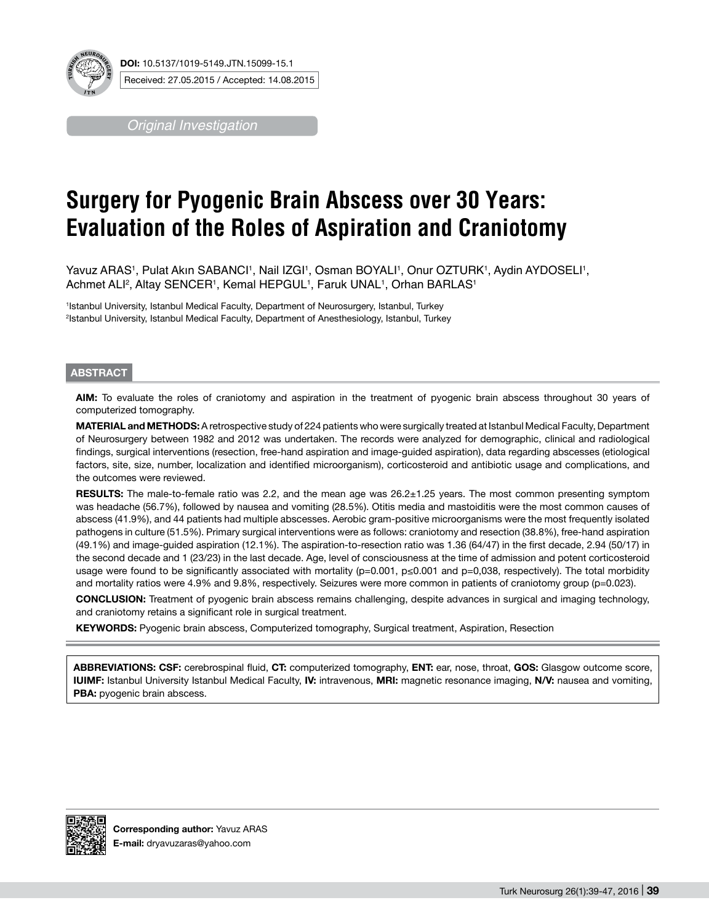

**DOI:** 10.5137/1019-5149.JTN.15099-15.1 Received: 27.05.2015 / Accepted: 14.08.2015

*Original Investigation*

# **Surgery for Pyogenic Brain Abscess over 30 Years: Evaluation of the Roles of Aspiration and Craniotomy**

Yavuz ARAS1, Pulat Akın SABANCI1, Nail IZGI1, Osman BOYALI1, Onur OZTURK1, Aydin AYDOSELI1, Achmet ALI<sup>2</sup>, Altay SENCER1, Kemal HEPGUL1, Faruk UNAL1, Orhan BARLAS1

1 Istanbul University, Istanbul Medical Faculty, Department of Neurosurgery, Istanbul, Turkey 2 Istanbul University, Istanbul Medical Faculty, Department of Anesthesiology, Istanbul, Turkey

# **ABSTRACT**

**AIm:** To evaluate the roles of craniotomy and aspiration in the treatment of pyogenic brain abscess throughout 30 years of computerized tomography.

**MaterIal and Methods:** A retrospective study of 224 patients who were surgically treated at Istanbul Medical Faculty, Department of Neurosurgery between 1982 and 2012 was undertaken. The records were analyzed for demographic, clinical and radiological findings, surgical interventions (resection, free-hand aspiration and image-guided aspiration), data regarding abscesses (etiological factors, site, size, number, localization and identified microorganism), corticosteroid and antibiotic usage and complications, and the outcomes were reviewed.

**Results:** The male-to-female ratio was 2.2, and the mean age was 26.2±1.25 years. The most common presenting symptom was headache (56.7%), followed by nausea and vomiting (28.5%). Otitis media and mastoiditis were the most common causes of abscess (41.9%), and 44 patients had multiple abscesses. Aerobic gram-positive microorganisms were the most frequently isolated pathogens in culture (51.5%). Primary surgical interventions were as follows: craniotomy and resection (38.8%), free-hand aspiration (49.1%) and image-guided aspiration (12.1%). The aspiration-to-resection ratio was 1.36 (64/47) in the first decade, 2.94 (50/17) in the second decade and 1 (23/23) in the last decade. Age, level of consciousness at the time of admission and potent corticosteroid usage were found to be significantly associated with mortality (p=0.001, p≤0.001 and p=0,038, respectively). The total morbidity and mortality ratios were 4.9% and 9.8%, respectively. Seizures were more common in patients of craniotomy group (p=0.023).

**ConclusIon:** Treatment of pyogenic brain abscess remains challenging, despite advances in surgical and imaging technology, and craniotomy retains a significant role in surgical treatment.

**KEYWORDS:** Pyogenic brain abscess, Computerized tomography, Surgical treatment, Aspiration, Resection

**Abbrevıatıons: CSF:** cerebrospinal fluid, **CT:** computerized tomography, **ENT:** ear, nose, throat, **GOS:** Glasgow outcome score, **IUIMF:** Istanbul University Istanbul Medical Faculty, **IV:** intravenous, **MRI:** magnetic resonance imaging, **N/V:** nausea and vomiting, **PBA:** pyogenic brain abscess.

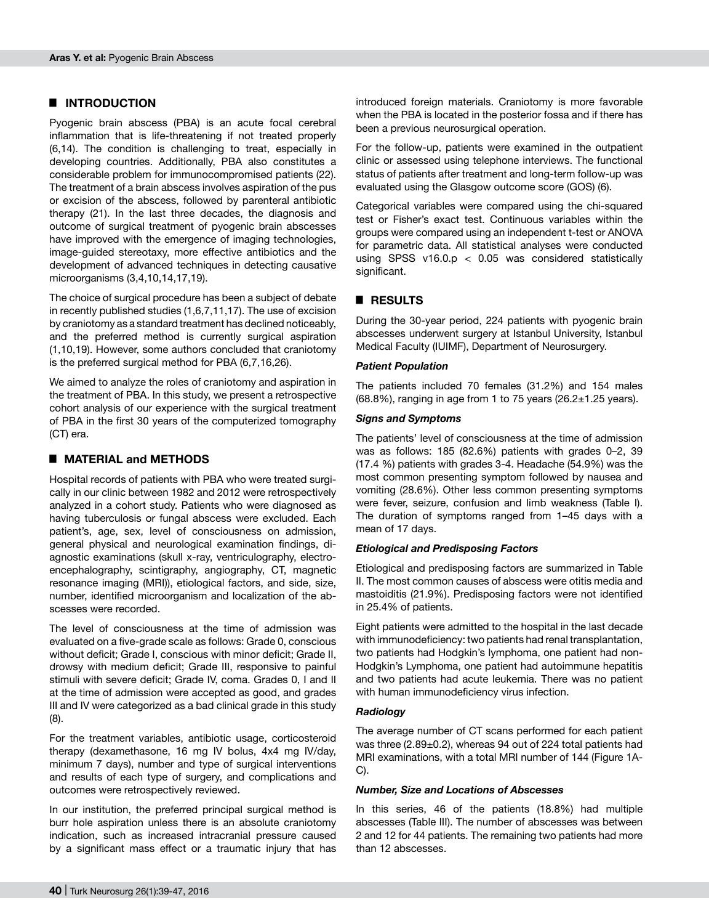# █ **INTRODUCTION**

Pyogenic brain abscess (PBA) is an acute focal cerebral inflammation that is life-threatening if not treated properly (6,14). The condition is challenging to treat, especially in developing countries. Additionally, PBA also constitutes a considerable problem for immunocompromised patients (22). The treatment of a brain abscess involves aspiration of the pus or excision of the abscess, followed by parenteral antibiotic therapy (21). In the last three decades, the diagnosis and outcome of surgical treatment of pyogenic brain abscesses have improved with the emergence of imaging technologies, image-guided stereotaxy, more effective antibiotics and the development of advanced techniques in detecting causative microorganisms (3,4,10,14,17,19).

The choice of surgical procedure has been a subject of debate in recently published studies (1,6,7,11,17). The use of excision by craniotomy as a standard treatment has declined noticeably, and the preferred method is currently surgical aspiration (1,10,19). However, some authors concluded that craniotomy is the preferred surgical method for PBA (6,7,16,26).

We aimed to analyze the roles of craniotomy and aspiration in the treatment of PBA. In this study, we present a retrospective cohort analysis of our experience with the surgical treatment of PBA in the first 30 years of the computerized tomography (CT) era.

# █ **MATERIAL and METHODS**

Hospital records of patients with PBA who were treated surgically in our clinic between 1982 and 2012 were retrospectively analyzed in a cohort study. Patients who were diagnosed as having tuberculosis or fungal abscess were excluded. Each patient's, age, sex, level of consciousness on admission, general physical and neurological examination findings, diagnostic examinations (skull x-ray, ventriculography, electroencephalography, scintigraphy, angiography, CT, magnetic resonance imaging (MRI)), etiological factors, and side, size, number, identified microorganism and localization of the abscesses were recorded.

The level of consciousness at the time of admission was evaluated on a five-grade scale as follows: Grade 0, conscious without deficit; Grade I, conscious with minor deficit; Grade II, drowsy with medium deficit; Grade III, responsive to painful stimuli with severe deficit; Grade IV, coma. Grades 0, I and II at the time of admission were accepted as good, and grades III and IV were categorized as a bad clinical grade in this study (8).

For the treatment variables, antibiotic usage, corticosteroid therapy (dexamethasone, 16 mg IV bolus, 4x4 mg IV/day, minimum 7 days), number and type of surgical interventions and results of each type of surgery, and complications and outcomes were retrospectively reviewed.

In our institution, the preferred principal surgical method is burr hole aspiration unless there is an absolute craniotomy indication, such as increased intracranial pressure caused by a significant mass effect or a traumatic injury that has introduced foreign materials. Craniotomy is more favorable when the PBA is located in the posterior fossa and if there has been a previous neurosurgical operation.

For the follow-up, patients were examined in the outpatient clinic or assessed using telephone interviews. The functional status of patients after treatment and long-term follow-up was evaluated using the Glasgow outcome score (GOS) (6).

Categorical variables were compared using the chi-squared test or Fisher's exact test. Continuous variables within the groups were compared using an independent t-test or ANOVA for parametric data. All statistical analyses were conducted using SPSS  $v16.0.p < 0.05$  was considered statistically significant.

# █ **RESULTS**

During the 30-year period, 224 patients with pyogenic brain abscesses underwent surgery at Istanbul University, Istanbul Medical Faculty (IUIMF), Department of Neurosurgery.

# *Patient Population*

The patients included 70 females (31.2%) and 154 males (68.8%), ranging in age from 1 to 75 years (26.2 $\pm$ 1.25 years).

# *Signs and Symptoms*

The patients' level of consciousness at the time of admission was as follows: 185 (82.6%) patients with grades 0–2, 39 (17.4 %) patients with grades 3-4. Headache (54.9%) was the most common presenting symptom followed by nausea and vomiting (28.6%). Other less common presenting symptoms were fever, seizure, confusion and limb weakness (Table I). The duration of symptoms ranged from 1–45 days with a mean of 17 days.

## *Etiological and Predisposing Factors*

Etiological and predisposing factors are summarized in Table II. The most common causes of abscess were otitis media and mastoiditis (21.9%). Predisposing factors were not identified in 25.4% of patients.

Eight patients were admitted to the hospital in the last decade with immunodeficiency: two patients had renal transplantation, two patients had Hodgkin's lymphoma, one patient had non-Hodgkin's Lymphoma, one patient had autoimmune hepatitis and two patients had acute leukemia. There was no patient with human immunodeficiency virus infection.

#### *Radiology*

The average number of CT scans performed for each patient was three (2.89±0.2), whereas 94 out of 224 total patients had MRI examinations, with a total MRI number of 144 (Figure 1A-C).

#### *Number, Size and Locations of Abscesses*

In this series, 46 of the patients (18.8%) had multiple abscesses (Table III). The number of abscesses was between 2 and 12 for 44 patients. The remaining two patients had more than 12 abscesses.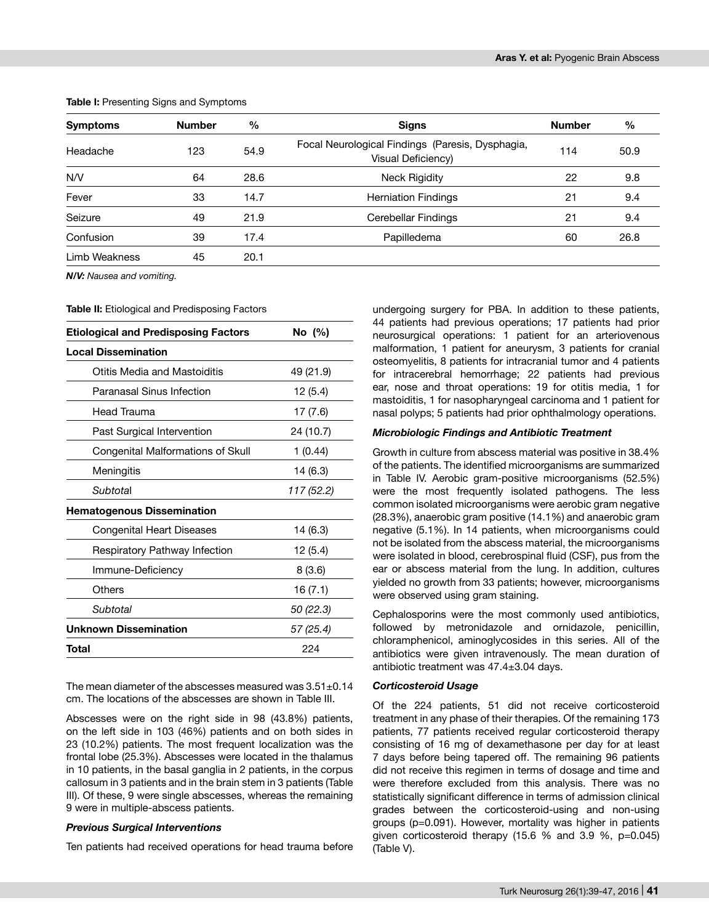| <b>Symptoms</b> | <b>Number</b> | $\frac{0}{0}$ | <b>Signs</b>                                                           | <b>Number</b> | %    |
|-----------------|---------------|---------------|------------------------------------------------------------------------|---------------|------|
| Headache        | 123           | 54.9          | Focal Neurological Findings (Paresis, Dysphagia,<br>Visual Deficiency) | 114           | 50.9 |
| N/V             | 64            | 28.6          | <b>Neck Rigidity</b>                                                   | 22            | 9.8  |
| Fever           | 33            | 14.7          | <b>Herniation Findings</b>                                             | 21            | 9.4  |
| Seizure         | 49            | 21.9          | Cerebellar Findings                                                    | 21            | 9.4  |
| Confusion       | 39            | 17.4          | Papilledema                                                            | 60            | 26.8 |
| Limb Weakness   | 45            | 20.1          |                                                                        |               |      |

**Table I:** Presenting Signs and Symptoms

*N/V: Nausea and vomiting.*

**Table II:** Etiological and Predisposing Factors

| <b>Etiological and Predisposing Factors</b> | No (%)     |  |  |
|---------------------------------------------|------------|--|--|
| <b>Local Dissemination</b>                  |            |  |  |
| Otitis Media and Mastoiditis                | 49 (21.9)  |  |  |
| Paranasal Sinus Infection                   | 12 (5.4)   |  |  |
| Head Trauma                                 | 17 (7.6)   |  |  |
| Past Surgical Intervention                  | 24 (10.7)  |  |  |
| Congenital Malformations of Skull           | 1(0.44)    |  |  |
| Meningitis                                  | 14 (6.3)   |  |  |
| Subtotal                                    | 117 (52.2) |  |  |
| <b>Hematogenous Dissemination</b>           |            |  |  |
| Congenital Heart Diseases                   | 14 (6.3)   |  |  |
| Respiratory Pathway Infection               | 12 (5.4)   |  |  |
| Immune-Deficiency                           | 8(3.6)     |  |  |
| Others                                      | 16 (7.1)   |  |  |
| Subtotal                                    | 50 (22.3)  |  |  |
| <b>Unknown Dissemination</b>                | 57 (25.4)  |  |  |
| Total                                       | 224        |  |  |

The mean diameter of the abscesses measured was 3.51±0.14 cm. The locations of the abscesses are shown in Table III.

Abscesses were on the right side in 98 (43.8%) patients, on the left side in 103 (46%) patients and on both sides in 23 (10.2%) patients. The most frequent localization was the frontal lobe (25.3%). Abscesses were located in the thalamus in 10 patients, in the basal ganglia in 2 patients, in the corpus callosum in 3 patients and in the brain stem in 3 patients (Table III). Of these, 9 were single abscesses, whereas the remaining 9 were in multiple-abscess patients.

#### *Previous Surgical Interventions*

Ten patients had received operations for head trauma before

undergoing surgery for PBA. In addition to these patients, 44 patients had previous operations; 17 patients had prior neurosurgical operations: 1 patient for an arteriovenous malformation, 1 patient for aneurysm, 3 patients for cranial osteomyelitis, 8 patients for intracranial tumor and 4 patients for intracerebral hemorrhage; 22 patients had previous ear, nose and throat operations: 19 for otitis media, 1 for mastoiditis, 1 for nasopharyngeal carcinoma and 1 patient for nasal polyps; 5 patients had prior ophthalmology operations.

# *Microbiologic Findings and Antibiotic Treatment*

Growth in culture from abscess material was positive in 38.4% of the patients. The identified microorganisms are summarized in Table IV. Aerobic gram-positive microorganisms (52.5%) were the most frequently isolated pathogens. The less common isolated microorganisms were aerobic gram negative (28.3%), anaerobic gram positive (14.1%) and anaerobic gram negative (5.1%). In 14 patients, when microorganisms could not be isolated from the abscess material, the microorganisms were isolated in blood, cerebrospinal fluid (CSF), pus from the ear or abscess material from the lung. In addition, cultures yielded no growth from 33 patients; however, microorganisms were observed using gram staining.

Cephalosporins were the most commonly used antibiotics, followed by metronidazole and ornidazole, penicillin, chloramphenicol, aminoglycosides in this series. All of the antibiotics were given intravenously. The mean duration of antibiotic treatment was 47.4±3.04 days.

# *Corticosteroid Usage*

Of the 224 patients, 51 did not receive corticosteroid treatment in any phase of their therapies. Of the remaining 173 patients, 77 patients received regular corticosteroid therapy consisting of 16 mg of dexamethasone per day for at least 7 days before being tapered off. The remaining 96 patients did not receive this regimen in terms of dosage and time and were therefore excluded from this analysis. There was no statistically significant difference in terms of admission clinical grades between the corticosteroid-using and non-using groups (p=0.091). However, mortality was higher in patients given corticosteroid therapy (15.6 % and 3.9 %, p=0.045) (Table V).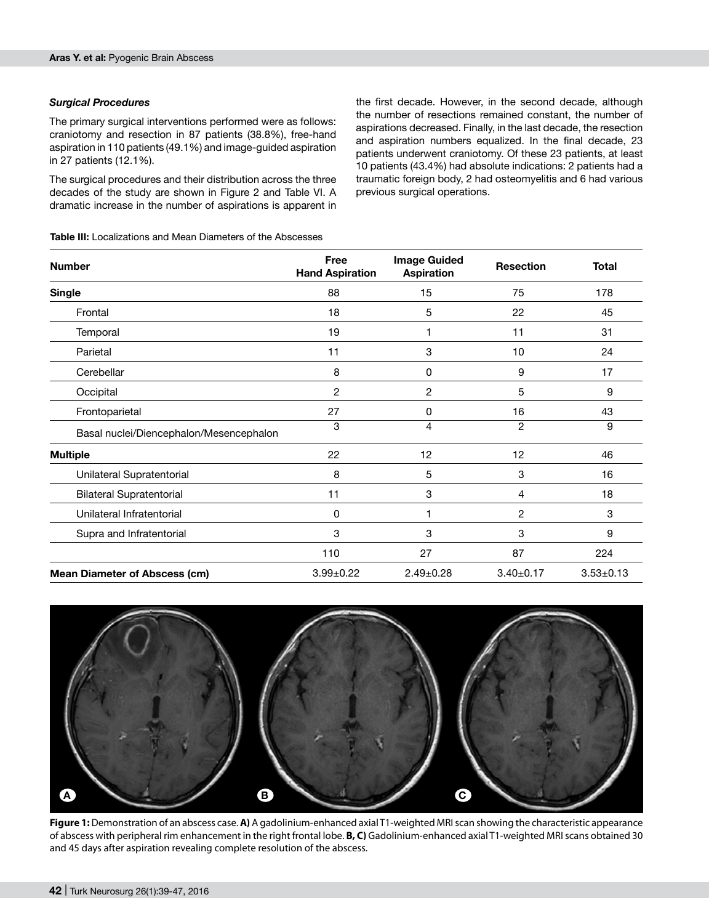# *Surgical Procedures*

The primary surgical interventions performed were as follows: craniotomy and resection in 87 patients (38.8%), free-hand aspiration in 110 patients (49.1%) and image-guided aspiration in 27 patients (12.1%).

The surgical procedures and their distribution across the three decades of the study are shown in Figure 2 and Table VI. A dramatic increase in the number of aspirations is apparent in

the first decade. However, in the second decade, although the number of resections remained constant, the number of aspirations decreased. Finally, in the last decade, the resection and aspiration numbers equalized. In the final decade, 23 patients underwent craniotomy. Of these 23 patients, at least 10 patients (43.4%) had absolute indications: 2 patients had a traumatic foreign body, 2 had osteomyelitis and 6 had various previous surgical operations.

| <b>Number</b>                           | Free<br><b>Hand Aspiration</b> | <b>Image Guided</b><br><b>Aspiration</b> | <b>Resection</b> | <b>Total</b>    |
|-----------------------------------------|--------------------------------|------------------------------------------|------------------|-----------------|
| <b>Single</b>                           | 88                             | 15                                       | 75               | 178             |
| Frontal                                 | 18                             | 5                                        | 22               | 45              |
| Temporal                                | 19                             |                                          | 11               | 31              |
| Parietal                                | 11                             | 3                                        | 10               | 24              |
| Cerebellar                              | 8                              | 0                                        | 9                | 17              |
| Occipital                               | 2                              | 2                                        | 5                | 9               |
| Frontoparietal                          | 27                             | 0                                        | 16               | 43              |
| Basal nuclei/Diencephalon/Mesencephalon | 3                              | 4                                        | $\overline{2}$   | 9               |
| <b>Multiple</b>                         | 22                             | 12                                       | 12               | 46              |
| Unilateral Supratentorial               | 8                              | 5                                        | 3                | 16              |
| <b>Bilateral Supratentorial</b>         | 11                             | 3                                        | 4                | 18              |
| Unilateral Infratentorial               | 0                              | 1                                        | 2                | 3               |
| Supra and Infratentorial                | 3                              | 3                                        | 3                | 9               |
|                                         | 110                            | 27                                       | 87               | 224             |
| <b>Mean Diameter of Abscess (cm)</b>    | $3.99 \pm 0.22$                | $2.49 \pm 0.28$                          | $3.40 \pm 0.17$  | $3.53 \pm 0.13$ |



**Figure 1:** Demonstration of an abscess case. **A)** A gadolinium-enhanced axial T1-weighted MRI scan showing the characteristic appearance of abscess with peripheral rim enhancement in the right frontal lobe. **B, C)** Gadolinium-enhanced axial T1-weighted MRI scans obtained 30 and 45 days after aspiration revealing complete resolution of the abscess.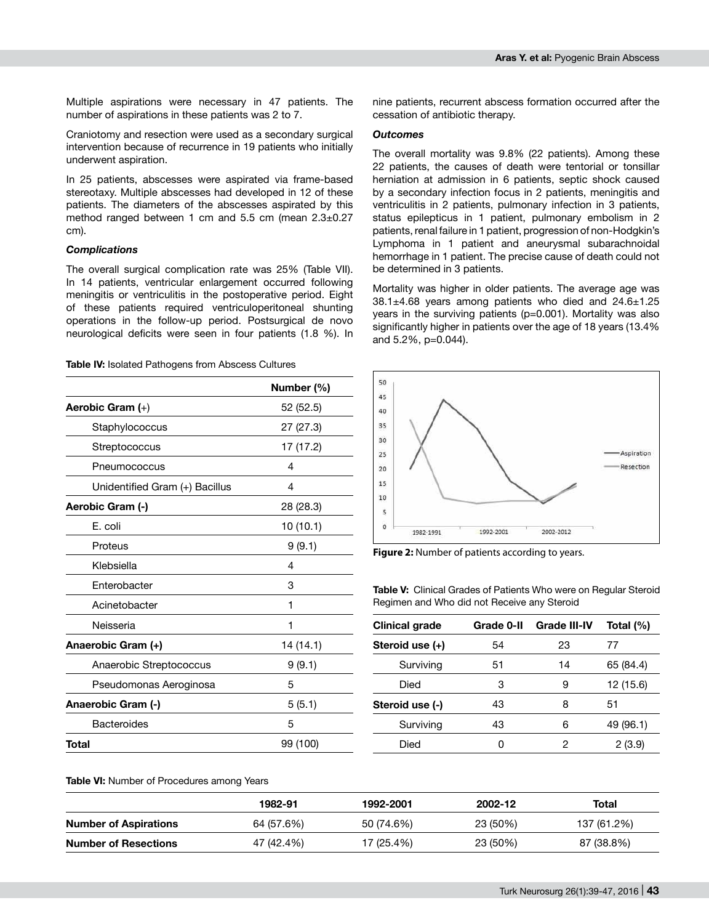Multiple aspirations were necessary in 47 patients. The number of aspirations in these patients was 2 to 7.

Craniotomy and resection were used as a secondary surgical intervention because of recurrence in 19 patients who initially underwent aspiration.

In 25 patients, abscesses were aspirated via frame-based stereotaxy. Multiple abscesses had developed in 12 of these patients. The diameters of the abscesses aspirated by this method ranged between 1 cm and 5.5 cm (mean 2.3±0.27 cm).

# *Complications*

The overall surgical complication rate was 25% (Table VII). In 14 patients, ventricular enlargement occurred following meningitis or ventriculitis in the postoperative period. Eight of these patients required ventriculoperitoneal shunting operations in the follow-up period. Postsurgical de novo neurological deficits were seen in four patients (1.8 %). In

**Table IV:** Isolated Pathogens from Abscess Cultures

|                                | Number (%) |
|--------------------------------|------------|
| Aerobic Gram (+)               | 52 (52.5)  |
| Staphylococcus                 | 27 (27.3)  |
| Streptococcus                  | 17 (17.2)  |
| Pneumococcus                   | 4          |
| Unidentified Gram (+) Bacillus | 4          |
| Aerobic Gram (-)               | 28 (28.3)  |
| E. coli                        | 10 (10.1)  |
| Proteus                        | 9(9.1)     |
| Klebsiella                     | 4          |
| Enterobacter                   | 3          |
| Acinetobacter                  | 1          |
| Neisseria                      | 1          |
| Anaerobic Gram (+)             | 14 (14.1)  |
| Anaerobic Streptococcus        | 9(9.1)     |
| Pseudomonas Aeroginosa         | 5          |
| Anaerobic Gram (-)             | 5(5.1)     |
| <b>Bacteroides</b>             | 5          |
| Total                          | 99 (100)   |

nine patients, recurrent abscess formation occurred after the cessation of antibiotic therapy.

# *Outcomes*

The overall mortality was 9.8% (22 patients). Among these 22 patients, the causes of death were tentorial or tonsillar herniation at admission in 6 patients, septic shock caused by a secondary infection focus in 2 patients, meningitis and ventriculitis in 2 patients, pulmonary infection in 3 patients, status epilepticus in 1 patient, pulmonary embolism in 2 patients, renal failure in 1 patient, progression of non-Hodgkin's Lymphoma in 1 patient and aneurysmal subarachnoidal hemorrhage in 1 patient. The precise cause of death could not be determined in 3 patients.

Mortality was higher in older patients. The average age was 38.1±4.68 years among patients who died and 24.6±1.25 years in the surviving patients (p=0.001). Mortality was also significantly higher in patients over the age of 18 years (13.4% and 5.2%, p=0.044).



**Figure 2:** Number of patients according to years.

**Table V:** Clinical Grades of Patients Who were on Regular Steroid Regimen and Who did not Receive any Steroid

| <b>Clinical grade</b> | Grade 0-II | <b>Grade III-IV</b> | Total $(\%)$ |  |
|-----------------------|------------|---------------------|--------------|--|
| Steroid use (+)       | 54         | 23                  | 77           |  |
| Surviving             | 51         | 14                  | 65 (84.4)    |  |
| Died                  | 3          | 9                   | 12 (15.6)    |  |
| Steroid use (-)       | 43         | 8                   | 51           |  |
| Surviving             | 43         | 6                   | 49 (96.1)    |  |
| Died                  | ი          | 2                   | 2(3.9)       |  |

**Table VI:** Number of Procedures among Years

|                              | 1982-91    | 1992-2001  | 2002-12  | Total       |
|------------------------------|------------|------------|----------|-------------|
| <b>Number of Aspirations</b> | 64 (57.6%) | 50 (74.6%) | 23 (50%) | 137 (61.2%) |
| <b>Number of Resections</b>  | 47 (42.4%) | 17 (25.4%) | 23 (50%) | 87 (38.8%)  |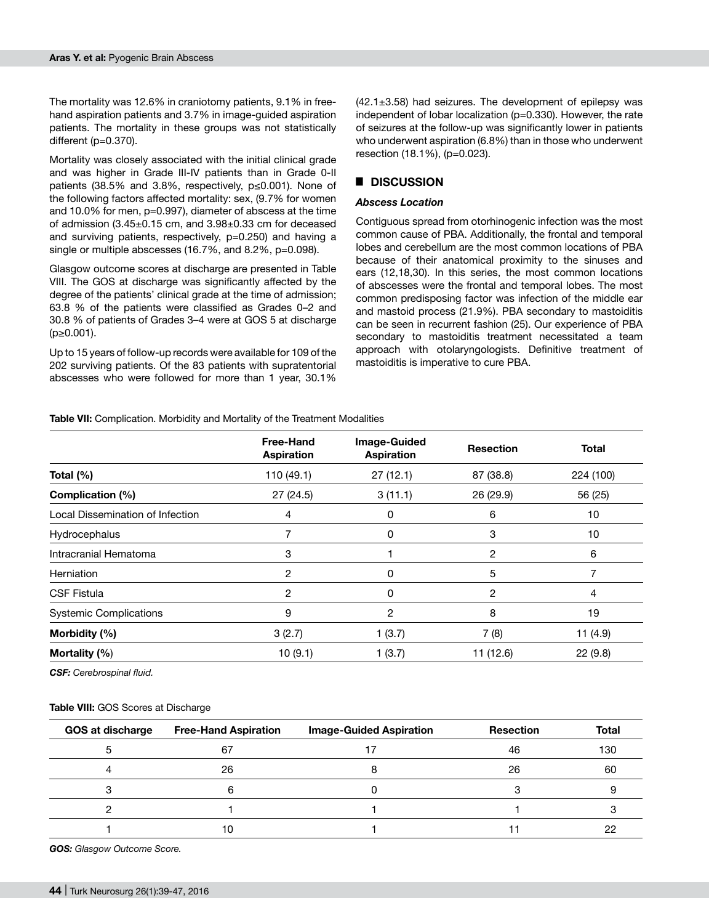The mortality was 12.6% in craniotomy patients, 9.1% in freehand aspiration patients and 3.7% in image-guided aspiration patients. The mortality in these groups was not statistically different (p=0.370).

Mortality was closely associated with the initial clinical grade and was higher in Grade III-IV patients than in Grade 0-II patients (38.5% and 3.8%, respectively, p≤0.001). None of the following factors affected mortality: sex, (9.7% for women and 10.0% for men, p=0.997), diameter of abscess at the time of admission (3.45±0.15 cm, and 3.98±0.33 cm for deceased and surviving patients, respectively, p=0.250) and having a single or multiple abscesses (16.7%, and 8.2%, p=0.098).

Glasgow outcome scores at discharge are presented in Table VIII. The GOS at discharge was significantly affected by the degree of the patients' clinical grade at the time of admission; 63.8 % of the patients were classified as Grades 0–2 and 30.8 % of patients of Grades 3–4 were at GOS 5 at discharge (p≥0.001).

Up to 15 years of follow-up records were available for 109 of the 202 surviving patients. Of the 83 patients with supratentorial abscesses who were followed for more than 1 year, 30.1%

 $(42.1\pm3.58)$  had seizures. The development of epilepsy was independent of lobar localization (p=0.330). However, the rate of seizures at the follow-up was significantly lower in patients who underwent aspiration (6.8%) than in those who underwent resection (18.1%), (p=0.023).

# █ **DISCUSSION**

# *Abscess Location*

Contiguous spread from otorhinogenic infection was the most common cause of PBA. Additionally, the frontal and temporal lobes and cerebellum are the most common locations of PBA because of their anatomical proximity to the sinuses and ears (12,18,30). In this series, the most common locations of abscesses were the frontal and temporal lobes. The most common predisposing factor was infection of the middle ear and mastoid process (21.9%). PBA secondary to mastoiditis can be seen in recurrent fashion (25). Our experience of PBA secondary to mastoiditis treatment necessitated a team approach with otolaryngologists. Definitive treatment of mastoiditis is imperative to cure PBA.

**Table VII:** Complication. Morbidity and Mortality of the Treatment Modalities

|                                  | <b>Free-Hand</b><br><b>Aspiration</b> | <b>Image-Guided</b><br><b>Aspiration</b> | <b>Resection</b> | <b>Total</b> |
|----------------------------------|---------------------------------------|------------------------------------------|------------------|--------------|
| Total $(\%)$                     | 110 (49.1)                            | 27(12.1)                                 | 87 (38.8)        | 224 (100)    |
| Complication (%)                 | 27(24.5)                              | 3(11.1)                                  | 26 (29.9)        | 56 (25)      |
| Local Dissemination of Infection | 4                                     | 0                                        | 6                | 10           |
| Hydrocephalus                    |                                       | 0                                        | 3                | 10           |
| Intracranial Hematoma            | 3                                     |                                          | 2                | 6            |
| Herniation                       | 2                                     | 0                                        | 5                |              |
| <b>CSF Fistula</b>               | 2                                     | 0                                        | 2                | 4            |
| <b>Systemic Complications</b>    | 9                                     | 2                                        | 8                | 19           |
| Morbidity (%)                    | 3(2.7)                                | 1(3.7)                                   | 7(8)             | 11 $(4.9)$   |
| Mortality (%)                    | 10(9.1)                               | 1(3.7)                                   | 11 (12.6)        | 22(9.8)      |

*CSF: Cerebrospinal fluid.*

#### **Table VIII:** GOS Scores at Discharge

| <b>GOS at discharge</b> | <b>Free-Hand Aspiration</b> | <b>Image-Guided Aspiration</b> | <b>Resection</b> | <b>Total</b> |
|-------------------------|-----------------------------|--------------------------------|------------------|--------------|
|                         | 67                          |                                | 46               | 130          |
|                         | 26                          |                                | 26               | 60           |
|                         |                             |                                |                  |              |
|                         |                             |                                |                  |              |
|                         | 10                          |                                |                  | 22           |

*GOS: Glasgow Outcome Score.*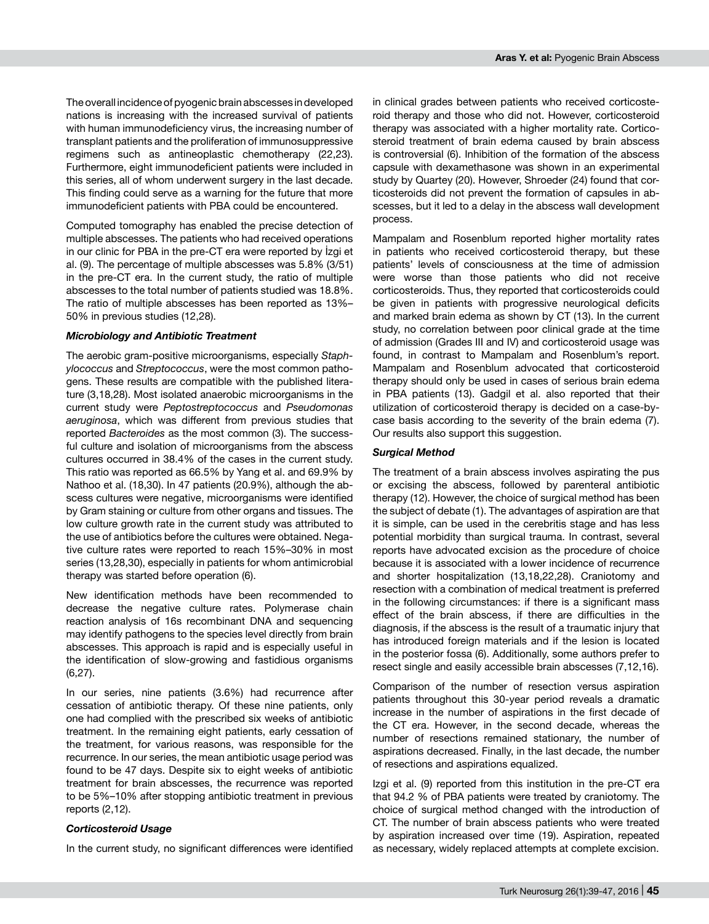The overall incidence of pyogenic brain abscesses in developed nations is increasing with the increased survival of patients with human immunodeficiency virus, the increasing number of transplant patients and the proliferation of immunosuppressive regimens such as antineoplastic chemotherapy (22,23). Furthermore, eight immunodeficient patients were included in this series, all of whom underwent surgery in the last decade. This finding could serve as a warning for the future that more immunodeficient patients with PBA could be encountered.

Computed tomography has enabled the precise detection of multiple abscesses. The patients who had received operations in our clinic for PBA in the pre-CT era were reported by İzgi et al. (9). The percentage of multiple abscesses was 5.8% (3/51) in the pre-CT era. In the current study, the ratio of multiple abscesses to the total number of patients studied was 18.8%. The ratio of multiple abscesses has been reported as 13%– 50% in previous studies (12,28).

# *Microbiology and Antibiotic Treatment*

The aerobic gram-positive microorganisms, especially *Staphylococcus* and *Streptococcus*, were the most common pathogens. These results are compatible with the published literature (3,18,28). Most isolated anaerobic microorganisms in the current study were *Peptostreptococcus* and *Pseudomonas aeruginosa*, which was different from previous studies that reported *Bacteroides* as the most common (3). The successful culture and isolation of microorganisms from the abscess cultures occurred in 38.4% of the cases in the current study. This ratio was reported as 66.5% by Yang et al. and 69.9% by Nathoo et al. (18,30). In 47 patients (20.9%), although the abscess cultures were negative, microorganisms were identified by Gram staining or culture from other organs and tissues. The low culture growth rate in the current study was attributed to the use of antibiotics before the cultures were obtained. Negative culture rates were reported to reach 15%–30% in most series (13,28,30), especially in patients for whom antimicrobial therapy was started before operation (6).

New identification methods have been recommended to decrease the negative culture rates. Polymerase chain reaction analysis of 16s recombinant DNA and sequencing may identify pathogens to the species level directly from brain abscesses. This approach is rapid and is especially useful in the identification of slow-growing and fastidious organisms (6,27).

In our series, nine patients (3.6%) had recurrence after cessation of antibiotic therapy. Of these nine patients, only one had complied with the prescribed six weeks of antibiotic treatment. In the remaining eight patients, early cessation of the treatment, for various reasons, was responsible for the recurrence. In our series, the mean antibiotic usage period was found to be 47 days. Despite six to eight weeks of antibiotic treatment for brain abscesses, the recurrence was reported to be 5%–10% after stopping antibiotic treatment in previous reports (2,12).

#### *Corticosteroid Usage*

In the current study, no significant differences were identified

in clinical grades between patients who received corticosteroid therapy and those who did not. However, corticosteroid therapy was associated with a higher mortality rate. Corticosteroid treatment of brain edema caused by brain abscess is controversial (6). Inhibition of the formation of the abscess capsule with dexamethasone was shown in an experimental study by Quartey (20). However, Shroeder (24) found that corticosteroids did not prevent the formation of capsules in abscesses, but it led to a delay in the abscess wall development process.

Mampalam and Rosenblum reported higher mortality rates in patients who received corticosteroid therapy, but these patients' levels of consciousness at the time of admission were worse than those patients who did not receive corticosteroids. Thus, they reported that corticosteroids could be given in patients with progressive neurological deficits and marked brain edema as shown by CT (13). In the current study, no correlation between poor clinical grade at the time of admission (Grades III and IV) and corticosteroid usage was found, in contrast to Mampalam and Rosenblum's report. Mampalam and Rosenblum advocated that corticosteroid therapy should only be used in cases of serious brain edema in PBA patients (13). Gadgil et al. also reported that their utilization of corticosteroid therapy is decided on a case-bycase basis according to the severity of the brain edema (7). Our results also support this suggestion.

# *Surgical Method*

The treatment of a brain abscess involves aspirating the pus or excising the abscess, followed by parenteral antibiotic therapy (12). However, the choice of surgical method has been the subject of debate (1). The advantages of aspiration are that it is simple, can be used in the cerebritis stage and has less potential morbidity than surgical trauma. In contrast, several reports have advocated excision as the procedure of choice because it is associated with a lower incidence of recurrence and shorter hospitalization (13,18,22,28). Craniotomy and resection with a combination of medical treatment is preferred in the following circumstances: if there is a significant mass effect of the brain abscess, if there are difficulties in the diagnosis, if the abscess is the result of a traumatic injury that has introduced foreign materials and if the lesion is located in the posterior fossa (6). Additionally, some authors prefer to resect single and easily accessible brain abscesses (7,12,16).

Comparison of the number of resection versus aspiration patients throughout this 30-year period reveals a dramatic increase in the number of aspirations in the first decade of the CT era. However, in the second decade, whereas the number of resections remained stationary, the number of aspirations decreased. Finally, in the last decade, the number of resections and aspirations equalized.

Izgi et al. (9) reported from this institution in the pre-CT era that 94.2 % of PBA patients were treated by craniotomy. The choice of surgical method changed with the introduction of CT. The number of brain abscess patients who were treated by aspiration increased over time (19). Aspiration, repeated as necessary, widely replaced attempts at complete excision.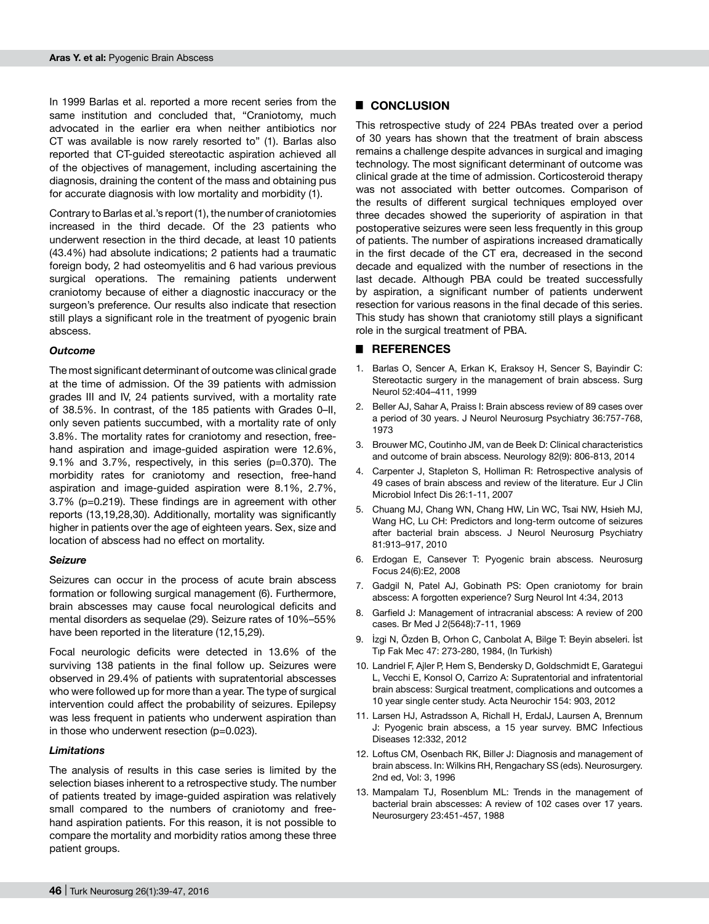In 1999 Barlas et al. reported a more recent series from the same institution and concluded that, "Craniotomy, much advocated in the earlier era when neither antibiotics nor CT was available is now rarely resorted to" (1). Barlas also reported that CT-guided stereotactic aspiration achieved all of the objectives of management, including ascertaining the diagnosis, draining the content of the mass and obtaining pus for accurate diagnosis with low mortality and morbidity (1).

Contrary to Barlas et al.'s report (1), the number of craniotomies increased in the third decade. Of the 23 patients who underwent resection in the third decade, at least 10 patients (43.4%) had absolute indications; 2 patients had a traumatic foreign body, 2 had osteomyelitis and 6 had various previous surgical operations. The remaining patients underwent craniotomy because of either a diagnostic inaccuracy or the surgeon's preference. Our results also indicate that resection still plays a significant role in the treatment of pyogenic brain abscess.

#### *Outcome*

The most significant determinant of outcome was clinical grade at the time of admission. Of the 39 patients with admission grades III and IV, 24 patients survived, with a mortality rate of 38.5%. In contrast, of the 185 patients with Grades 0–II, only seven patients succumbed, with a mortality rate of only 3.8%. The mortality rates for craniotomy and resection, freehand aspiration and image-guided aspiration were 12.6%, 9.1% and 3.7%, respectively, in this series (p=0.370). The morbidity rates for craniotomy and resection, free-hand aspiration and image-guided aspiration were 8.1%, 2.7%, 3.7% (p=0.219). These findings are in agreement with other reports (13,19,28,30). Additionally, mortality was significantly higher in patients over the age of eighteen years. Sex, size and location of abscess had no effect on mortality.

#### *Seizure*

Seizures can occur in the process of acute brain abscess formation or following surgical management (6). Furthermore, brain abscesses may cause focal neurological deficits and mental disorders as sequelae (29). Seizure rates of 10%–55% have been reported in the literature (12,15,29).

Focal neurologic deficits were detected in 13.6% of the surviving 138 patients in the final follow up. Seizures were observed in 29.4% of patients with supratentorial abscesses who were followed up for more than a year. The type of surgical intervention could affect the probability of seizures. Epilepsy was less frequent in patients who underwent aspiration than in those who underwent resection (p=0.023).

#### *Limitations*

The analysis of results in this case series is limited by the selection biases inherent to a retrospective study. The number of patients treated by image-guided aspiration was relatively small compared to the numbers of craniotomy and freehand aspiration patients. For this reason, it is not possible to compare the mortality and morbidity ratios among these three patient groups.

# █ **CONCLUSION**

This retrospective study of 224 PBAs treated over a period of 30 years has shown that the treatment of brain abscess remains a challenge despite advances in surgical and imaging technology. The most significant determinant of outcome was clinical grade at the time of admission. Corticosteroid therapy was not associated with better outcomes. Comparison of the results of different surgical techniques employed over three decades showed the superiority of aspiration in that postoperative seizures were seen less frequently in this group of patients. The number of aspirations increased dramatically in the first decade of the CT era, decreased in the second decade and equalized with the number of resections in the last decade. Although PBA could be treated successfully by aspiration, a significant number of patients underwent resection for various reasons in the final decade of this series. This study has shown that craniotomy still plays a significant role in the surgical treatment of PBA.

# █ **REFERENCES**

- 1. Barlas O, Sencer A, Erkan K, Eraksoy H, Sencer S, Bayindir C: Stereotactic surgery in the management of brain abscess. Surg Neurol 52:404–411, 1999
- 2. Beller AJ, Sahar A, Praiss I: Brain abscess review of 89 cases over a period of 30 years. J Neurol Neurosurg Psychiatry 36:757-768, 1973
- 3. Brouwer MC, Coutinho JM, van de Beek D: Clinical characteristics and outcome of brain abscess. Neurology 82(9): 806-813, 2014
- 4. Carpenter J, Stapleton S, Holliman R: Retrospective analysis of 49 cases of brain abscess and review of the literature. Eur J Clin Microbiol Infect Dis 26:1-11, 2007
- 5. Chuang MJ, Chang WN, Chang HW, Lin WC, Tsai NW, Hsieh MJ, Wang HC, Lu CH: Predictors and long-term outcome of seizures after bacterial brain abscess. J Neurol Neurosurg Psychiatry 81:913–917, 2010
- 6. Erdogan E, Cansever T: Pyogenic brain abscess. Neurosurg Focus 24(6):E2, 2008
- 7. Gadgil N, Patel AJ, Gobinath PS: Open craniotomy for brain abscess: A forgotten experience? Surg Neurol Int 4:34, 2013
- 8. Garfield J: Management of intracranial abscess: A review of 200 cases. Br Med J 2(5648):7-11, 1969
- 9. İzgi N, Özden B, Orhon C, Canbolat A, Bilge T: Beyin abseleri. İst Tıp Fak Mec 47: 273-280, 1984, (In Turkish)
- 10. Landriel F, Ajler P, Hem S, Bendersky D, Goldschmidt E, Garategui L, Vecchi E, Konsol O, Carrizo A: Supratentorial and infratentorial brain abscess: Surgical treatment, complications and outcomes a 10 year single center study. Acta Neurochir 154: 903, 2012
- 11. Larsen HJ, Astradsson A, Richall H, ErdalJ, Laursen A, Brennum J: Pyogenic brain abscess, a 15 year survey. BMC Infectious Diseases 12:332, 2012
- 12. Loftus CM, Osenbach RK, Biller J: Diagnosis and management of brain abscess. In: Wilkins RH, Rengachary SS (eds). Neurosurgery. 2nd ed, Vol: 3, 1996
- 13. Mampalam TJ, Rosenblum ML: Trends in the management of bacterial brain abscesses: A review of 102 cases over 17 years. Neurosurgery 23:451-457, 1988